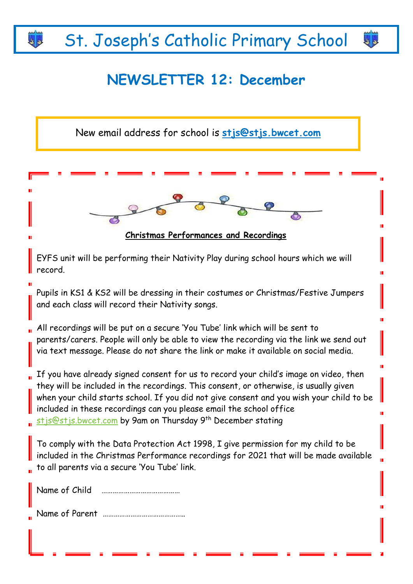# St. Joseph's Catholic Primary School

# **NEWSLETTER 12: December**

e A

**Christmas Performances and Recordings**  EYFS unit will be performing their Nativity Play during school hours which we will record. Pupils in KS1 & KS2 will be dressing in their costumes or Christmas/Festive Jumpers and each class will record their Nativity songs. All recordings will be put on a secure 'You Tube' link which will be sent to parents/carers. People will only be able to view the recording via the link we send out via text message. Please do not share the link or make it available on social media. If you have already signed consent for us to record your child's image on video, then they will be included in the recordings. This consent, or otherwise, is usually given when your child starts school. If you did not give consent and you wish your child to be included in these recordings can you please email the school office [stjs@stjs.bwcet.com](mailto:stjs@stjs.bwcet.com) by 9am on Thursday 9th December stating To comply with the Data Protection Act 1998, I give permission for my child to be included in the Christmas Performance recordings for 2021 that will be made available to all parents via a secure 'You Tube' link. Name of Child …………………………………… Name of Parent …………………………………….. New email address for school is **[stjs@stjs.bwcet.com](mailto:stjs@stjs.bwcet.com)**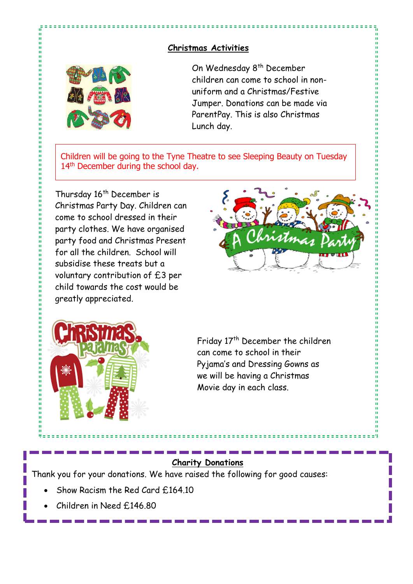#### **Christmas Activities**



n

计算机

ū

ń 11日 日本語 'n On Wednesday 8th December children can come to school in nonuniform and a Christmas/Festive Jumper. Donations can be made via ParentPay. This is also Christmas Lunch day.

Children will be going to the Tyne Theatre to see Sleeping Beauty on Tuesday 14<sup>th</sup> December during the school day.

Thursday 16<sup>th</sup> December is Christmas Party Day. Children can come to school dressed in their party clothes. We have organised party food and Christmas Present for all the children. School will subsidise these treats but a voluntary contribution of £3 per child towards the cost would be greatly appreciated.





Friday 17<sup>th</sup> December the children can come to school in their Pyjama's and Dressing Gowns as we will be having a Christmas Movie day in each class.

#### **Charity Donations**

Thank you for your donations. We have raised the following for good causes:

- Show Racism the Red Card £164.10
- Children in Need £146.80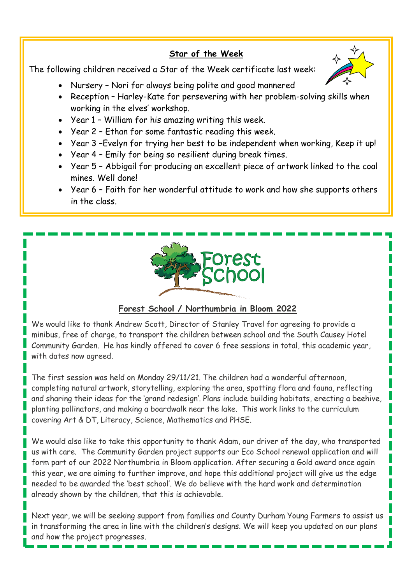### **Star of the Week**

The following children received a Star of the Week certificate last week:



- Nursery Nori for always being polite and good mannered
- Reception Harley-Kate for persevering with her problem-solving skills when working in the elves' workshop.
- Year 1 William for his amazing writing this week.
- Year 2 Ethan for some fantastic reading this week.
- Year 3 –Evelyn for trying her best to be independent when working, Keep it up!
- Year 4 Emily for being so resilient during break times.
- Year 5 Abbigail for producing an excellent piece of artwork linked to the coal mines. Well done!
- Year 6 Faith for her wonderful attitude to work and how she supports others in the class.



## **Forest School / Northumbria in Bloom 2022**

We would like to thank Andrew Scott, Director of Stanley Travel for agreeing to provide a minibus, free of charge, to transport the children between school and the South Causey Hotel Community Garden. He has kindly offered to cover 6 free sessions in total, this academic year, with dates now agreed.

The first session was held on Monday 29/11/21. The children had a wonderful afternoon, completing natural artwork, storytelling, exploring the area, spotting flora and fauna, reflecting and sharing their ideas for the 'grand redesign'. Plans include building habitats, erecting a beehive, planting pollinators, and making a boardwalk near the lake. This work links to the curriculum covering Art & DT, Literacy, Science, Mathematics and PHSE.

We would also like to take this opportunity to thank Adam, our driver of the day, who transported us with care. The Community Garden project supports our Eco School renewal application and will form part of our 2022 Northumbria in Bloom application. After securing a Gold award once again this year, we are aiming to further improve, and hope this additional project will give us the edge needed to be awarded the 'best school'. We do believe with the hard work and determination already shown by the children, that this is achievable.

Next year, we will be seeking support from families and County Durham Young Farmers to assist us in transforming the area in line with the children's designs. We will keep you updated on our plans and how the project progresses.